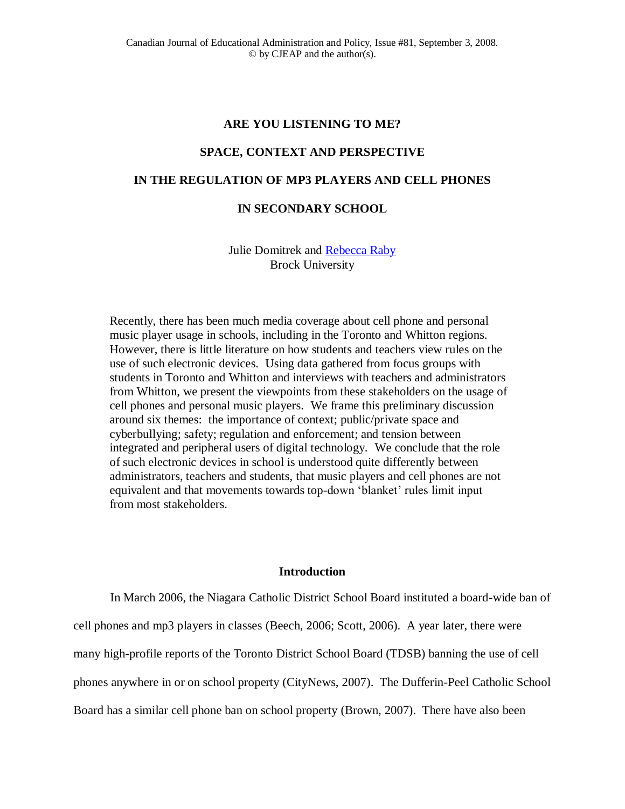#### **ARE YOU LISTENING TO ME?**

# **SPACE, CONTEXT AND PERSPECTIVE**

# **IN THE REGULATION OF MP3 PLAYERS AND CELL PHONES**

# **IN SECONDARY SCHOOL**

# Julie Domitrek and [Rebecca Raby](mailto:Rebecca%20Raby%20%3crraby@brocku.ca%3e) Brock University

Recently, there has been much media coverage about cell phone and personal music player usage in schools, including in the Toronto and Whitton regions. However, there is little literature on how students and teachers view rules on the use of such electronic devices. Using data gathered from focus groups with students in Toronto and Whitton and interviews with teachers and administrators from Whitton, we present the viewpoints from these stakeholders on the usage of cell phones and personal music players. We frame this preliminary discussion around six themes: the importance of context; public/private space and cyberbullying; safety; regulation and enforcement; and tension between integrated and peripheral users of digital technology. We conclude that the role of such electronic devices in school is understood quite differently between administrators, teachers and students, that music players and cell phones are not equivalent and that movements towards top-down 'blanket' rules limit input from most stakeholders.

#### **Introduction**

In March 2006, the Niagara Catholic District School Board instituted a board-wide ban of cell phones and mp3 players in classes (Beech, 2006; Scott, 2006). A year later, there were many high-profile reports of the Toronto District School Board (TDSB) banning the use of cell phones anywhere in or on school property (CityNews, 2007). The Dufferin-Peel Catholic School Board has a similar cell phone ban on school property (Brown, 2007). There have also been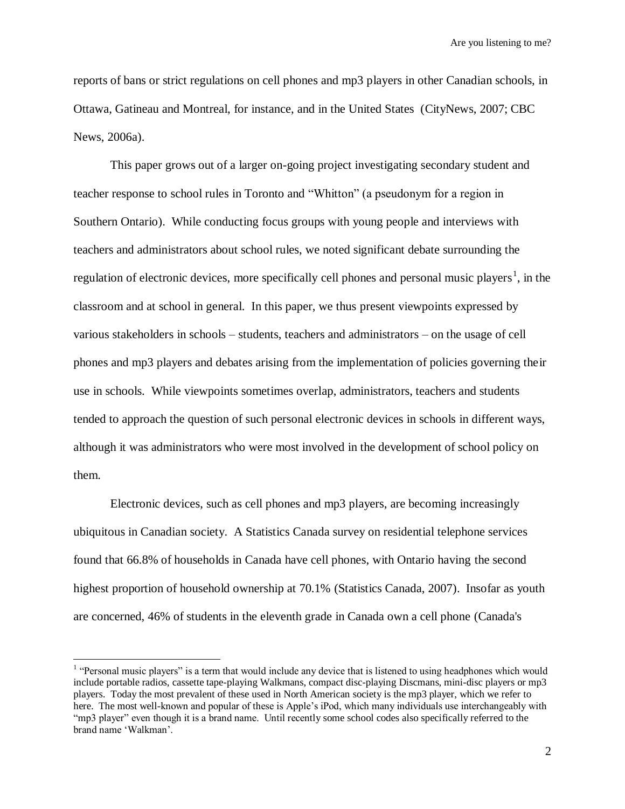reports of bans or strict regulations on cell phones and mp3 players in other Canadian schools, in Ottawa, Gatineau and Montreal, for instance, and in the United States (CityNews, 2007; CBC News, 2006a).

This paper grows out of a larger on-going project investigating secondary student and teacher response to school rules in Toronto and "Whitton" (a pseudonym for a region in Southern Ontario). While conducting focus groups with young people and interviews with teachers and administrators about school rules, we noted significant debate surrounding the regulation of electronic devices, more specifically cell phones and personal music players<sup>1</sup>, in the classroom and at school in general. In this paper, we thus present viewpoints expressed by various stakeholders in schools – students, teachers and administrators – on the usage of cell phones and mp3 players and debates arising from the implementation of policies governing their use in schools. While viewpoints sometimes overlap, administrators, teachers and students tended to approach the question of such personal electronic devices in schools in different ways, although it was administrators who were most involved in the development of school policy on them.

Electronic devices, such as cell phones and mp3 players, are becoming increasingly ubiquitous in Canadian society. A Statistics Canada survey on residential telephone services found that 66.8% of households in Canada have cell phones, with Ontario having the second highest proportion of household ownership at 70.1% (Statistics Canada, 2007). Insofar as youth are concerned, 46% of students in the eleventh grade in Canada own a cell phone (Canada's

 $\overline{a}$ 

<sup>&</sup>lt;sup>1</sup> "Personal music players" is a term that would include any device that is listened to using headphones which would include portable radios, cassette tape-playing Walkmans, compact disc-playing Discmans, mini-disc players or mp3 players. Today the most prevalent of these used in North American society is the mp3 player, which we refer to here. The most well-known and popular of these is Apple's iPod, which many individuals use interchangeably with "mp3 player" even though it is a brand name. Until recently some school codes also specifically referred to the brand name "Walkman".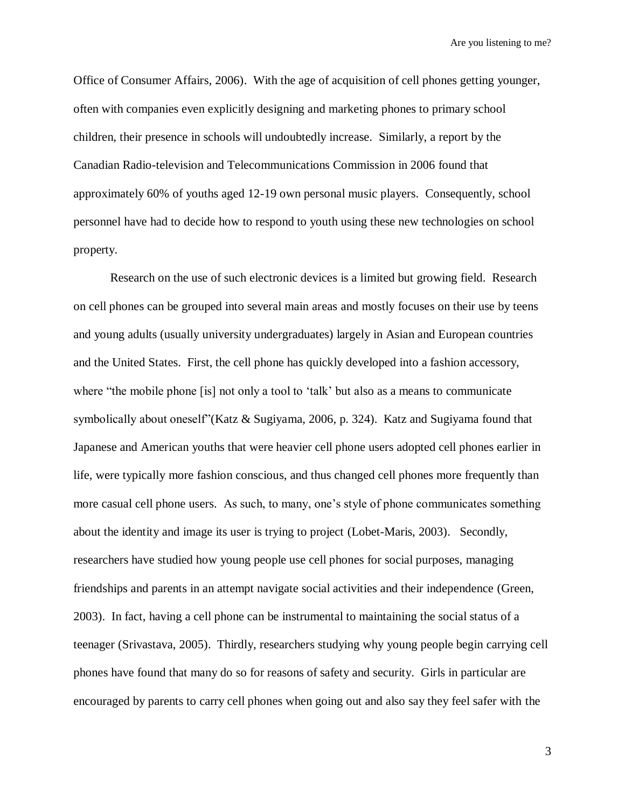Office of Consumer Affairs, 2006). With the age of acquisition of cell phones getting younger, often with companies even explicitly designing and marketing phones to primary school children, their presence in schools will undoubtedly increase. Similarly, a report by the Canadian Radio-television and Telecommunications Commission in 2006 found that approximately 60% of youths aged 12-19 own personal music players. Consequently, school personnel have had to decide how to respond to youth using these new technologies on school property.

Research on the use of such electronic devices is a limited but growing field. Research on cell phones can be grouped into several main areas and mostly focuses on their use by teens and young adults (usually university undergraduates) largely in Asian and European countries and the United States. First, the cell phone has quickly developed into a fashion accessory, where "the mobile phone [is] not only a tool to 'talk' but also as a means to communicate symbolically about oneself"(Katz & Sugiyama, 2006, p. 324). Katz and Sugiyama found that Japanese and American youths that were heavier cell phone users adopted cell phones earlier in life, were typically more fashion conscious, and thus changed cell phones more frequently than more casual cell phone users. As such, to many, one"s style of phone communicates something about the identity and image its user is trying to project (Lobet-Maris, 2003). Secondly, researchers have studied how young people use cell phones for social purposes, managing friendships and parents in an attempt navigate social activities and their independence (Green, 2003). In fact, having a cell phone can be instrumental to maintaining the social status of a teenager (Srivastava, 2005). Thirdly, researchers studying why young people begin carrying cell phones have found that many do so for reasons of safety and security. Girls in particular are encouraged by parents to carry cell phones when going out and also say they feel safer with the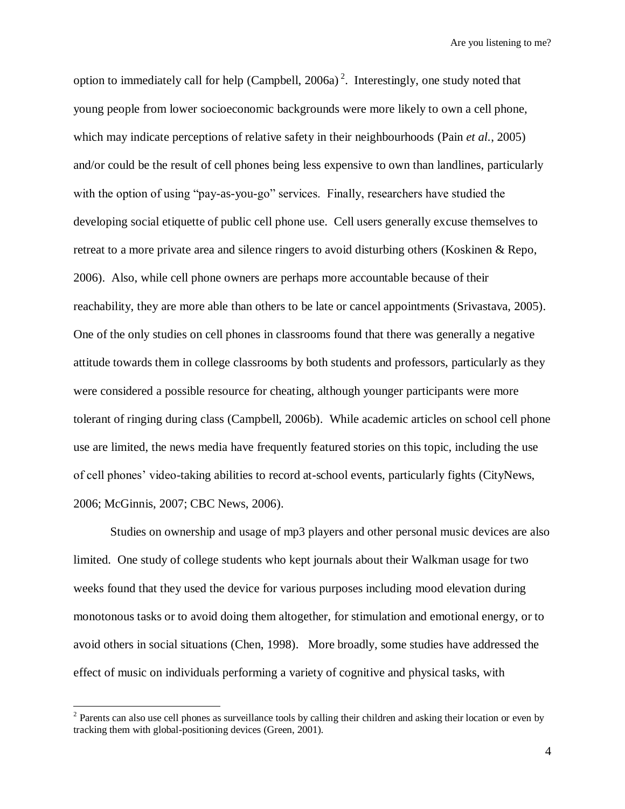option to immediately call for help (Campbell,  $2006a$ )<sup>2</sup>. Interestingly, one study noted that young people from lower socioeconomic backgrounds were more likely to own a cell phone, which may indicate perceptions of relative safety in their neighbourhoods (Pain *et al.*, 2005) and/or could be the result of cell phones being less expensive to own than landlines, particularly with the option of using "pay-as-you-go" services. Finally, researchers have studied the developing social etiquette of public cell phone use. Cell users generally excuse themselves to retreat to a more private area and silence ringers to avoid disturbing others (Koskinen & Repo, 2006). Also, while cell phone owners are perhaps more accountable because of their reachability, they are more able than others to be late or cancel appointments (Srivastava, 2005). One of the only studies on cell phones in classrooms found that there was generally a negative attitude towards them in college classrooms by both students and professors, particularly as they were considered a possible resource for cheating, although younger participants were more tolerant of ringing during class (Campbell, 2006b). While academic articles on school cell phone use are limited, the news media have frequently featured stories on this topic, including the use of cell phones" video-taking abilities to record at-school events, particularly fights (CityNews, 2006; McGinnis, 2007; CBC News, 2006).

Studies on ownership and usage of mp3 players and other personal music devices are also limited. One study of college students who kept journals about their Walkman usage for two weeks found that they used the device for various purposes including mood elevation during monotonous tasks or to avoid doing them altogether, for stimulation and emotional energy, or to avoid others in social situations (Chen, 1998). More broadly, some studies have addressed the effect of music on individuals performing a variety of cognitive and physical tasks, with

<sup>&</sup>lt;sup>2</sup> Parents can also use cell phones as surveillance tools by calling their children and asking their location or even by tracking them with global-positioning devices (Green, 2001).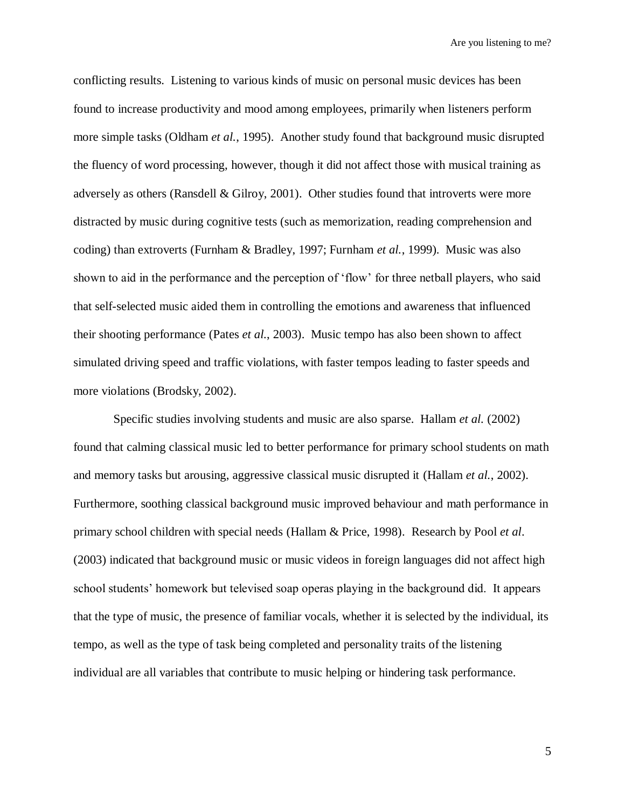conflicting results. Listening to various kinds of music on personal music devices has been found to increase productivity and mood among employees, primarily when listeners perform more simple tasks (Oldham *et al.*, 1995). Another study found that background music disrupted the fluency of word processing, however, though it did not affect those with musical training as adversely as others (Ransdell & Gilroy, 2001). Other studies found that introverts were more distracted by music during cognitive tests (such as memorization, reading comprehension and coding) than extroverts (Furnham & Bradley, 1997; Furnham *et al.*, 1999). Music was also shown to aid in the performance and the perception of "flow" for three netball players, who said that self-selected music aided them in controlling the emotions and awareness that influenced their shooting performance (Pates *et al.*, 2003). Music tempo has also been shown to affect simulated driving speed and traffic violations, with faster tempos leading to faster speeds and more violations (Brodsky, 2002).

Specific studies involving students and music are also sparse. Hallam *et al.* (2002) found that calming classical music led to better performance for primary school students on math and memory tasks but arousing, aggressive classical music disrupted it (Hallam *et al.*, 2002). Furthermore, soothing classical background music improved behaviour and math performance in primary school children with special needs (Hallam & Price, 1998). Research by Pool *et al*. (2003) indicated that background music or music videos in foreign languages did not affect high school students" homework but televised soap operas playing in the background did. It appears that the type of music, the presence of familiar vocals, whether it is selected by the individual, its tempo, as well as the type of task being completed and personality traits of the listening individual are all variables that contribute to music helping or hindering task performance.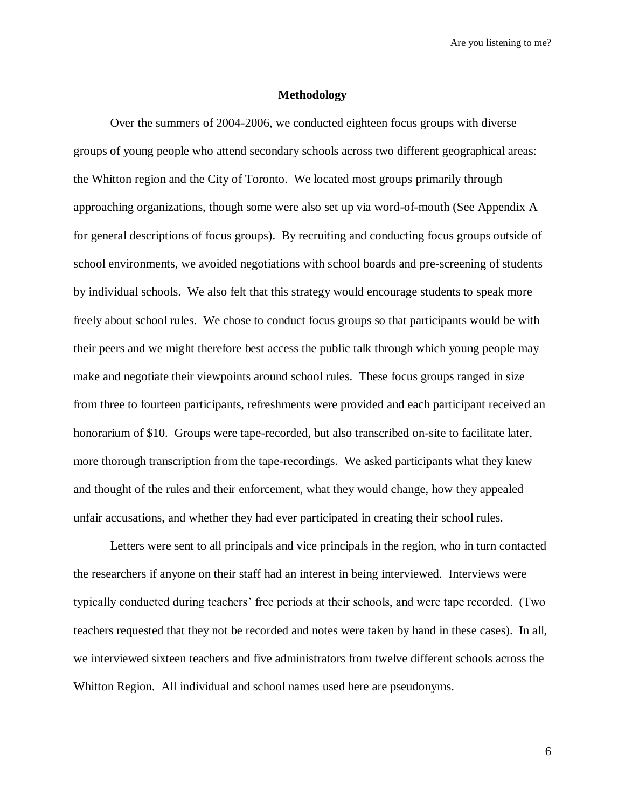#### **Methodology**

Over the summers of 2004-2006, we conducted eighteen focus groups with diverse groups of young people who attend secondary schools across two different geographical areas: the Whitton region and the City of Toronto. We located most groups primarily through approaching organizations, though some were also set up via word-of-mouth (See Appendix A for general descriptions of focus groups). By recruiting and conducting focus groups outside of school environments, we avoided negotiations with school boards and pre-screening of students by individual schools. We also felt that this strategy would encourage students to speak more freely about school rules. We chose to conduct focus groups so that participants would be with their peers and we might therefore best access the public talk through which young people may make and negotiate their viewpoints around school rules. These focus groups ranged in size from three to fourteen participants, refreshments were provided and each participant received an honorarium of \$10. Groups were tape-recorded, but also transcribed on-site to facilitate later, more thorough transcription from the tape-recordings. We asked participants what they knew and thought of the rules and their enforcement, what they would change, how they appealed unfair accusations, and whether they had ever participated in creating their school rules.

Letters were sent to all principals and vice principals in the region, who in turn contacted the researchers if anyone on their staff had an interest in being interviewed. Interviews were typically conducted during teachers" free periods at their schools, and were tape recorded. (Two teachers requested that they not be recorded and notes were taken by hand in these cases). In all, we interviewed sixteen teachers and five administrators from twelve different schools across the Whitton Region. All individual and school names used here are pseudonyms.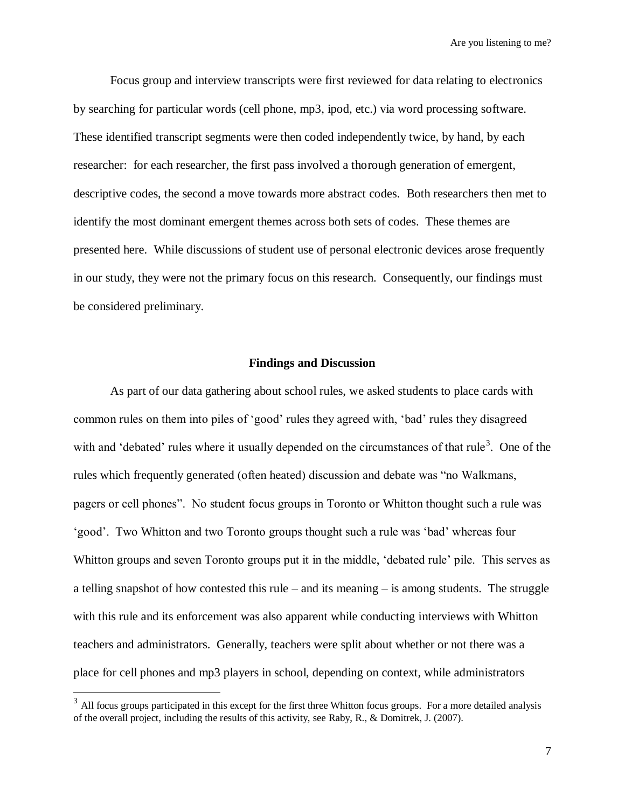Focus group and interview transcripts were first reviewed for data relating to electronics by searching for particular words (cell phone, mp3, ipod, etc.) via word processing software. These identified transcript segments were then coded independently twice, by hand, by each researcher: for each researcher, the first pass involved a thorough generation of emergent, descriptive codes, the second a move towards more abstract codes. Both researchers then met to identify the most dominant emergent themes across both sets of codes. These themes are presented here. While discussions of student use of personal electronic devices arose frequently in our study, they were not the primary focus on this research. Consequently, our findings must be considered preliminary.

#### **Findings and Discussion**

As part of our data gathering about school rules, we asked students to place cards with common rules on them into piles of "good" rules they agreed with, "bad" rules they disagreed with and 'debated' rules where it usually depended on the circumstances of that rule<sup>3</sup>. One of the rules which frequently generated (often heated) discussion and debate was "no Walkmans, pagers or cell phones". No student focus groups in Toronto or Whitton thought such a rule was "good". Two Whitton and two Toronto groups thought such a rule was "bad" whereas four Whitton groups and seven Toronto groups put it in the middle, 'debated rule' pile. This serves as a telling snapshot of how contested this rule – and its meaning – is among students. The struggle with this rule and its enforcement was also apparent while conducting interviews with Whitton teachers and administrators. Generally, teachers were split about whether or not there was a place for cell phones and mp3 players in school, depending on context, while administrators

<sup>&</sup>lt;sup>3</sup> All focus groups participated in this except for the first three Whitton focus groups. For a more detailed analysis of the overall project, including the results of this activity, see Raby, R., & Domitrek, J. (2007).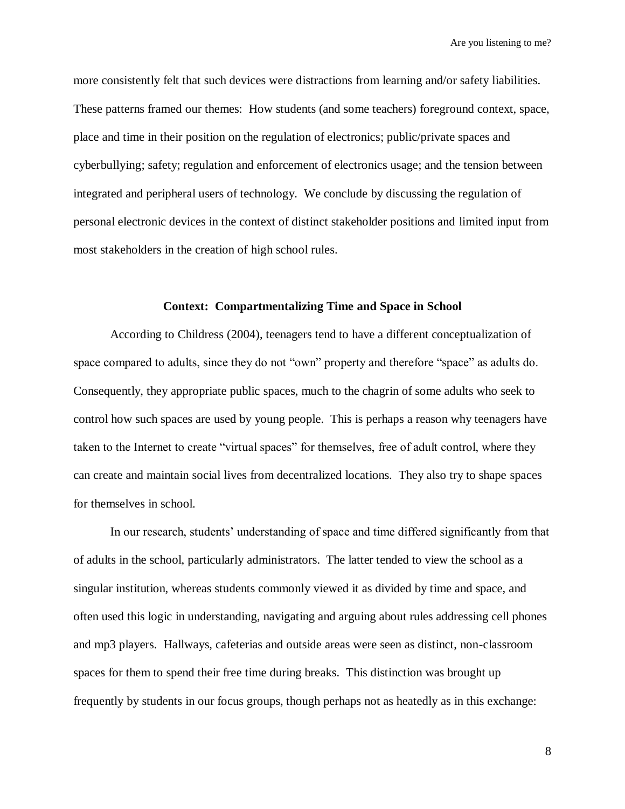more consistently felt that such devices were distractions from learning and/or safety liabilities. These patterns framed our themes: How students (and some teachers) foreground context, space, place and time in their position on the regulation of electronics; public/private spaces and cyberbullying; safety; regulation and enforcement of electronics usage; and the tension between integrated and peripheral users of technology. We conclude by discussing the regulation of personal electronic devices in the context of distinct stakeholder positions and limited input from most stakeholders in the creation of high school rules.

#### **Context: Compartmentalizing Time and Space in School**

According to Childress (2004), teenagers tend to have a different conceptualization of space compared to adults, since they do not "own" property and therefore "space" as adults do. Consequently, they appropriate public spaces, much to the chagrin of some adults who seek to control how such spaces are used by young people. This is perhaps a reason why teenagers have taken to the Internet to create "virtual spaces" for themselves, free of adult control, where they can create and maintain social lives from decentralized locations. They also try to shape spaces for themselves in school.

In our research, students" understanding of space and time differed significantly from that of adults in the school, particularly administrators. The latter tended to view the school as a singular institution, whereas students commonly viewed it as divided by time and space, and often used this logic in understanding, navigating and arguing about rules addressing cell phones and mp3 players. Hallways, cafeterias and outside areas were seen as distinct, non-classroom spaces for them to spend their free time during breaks. This distinction was brought up frequently by students in our focus groups, though perhaps not as heatedly as in this exchange: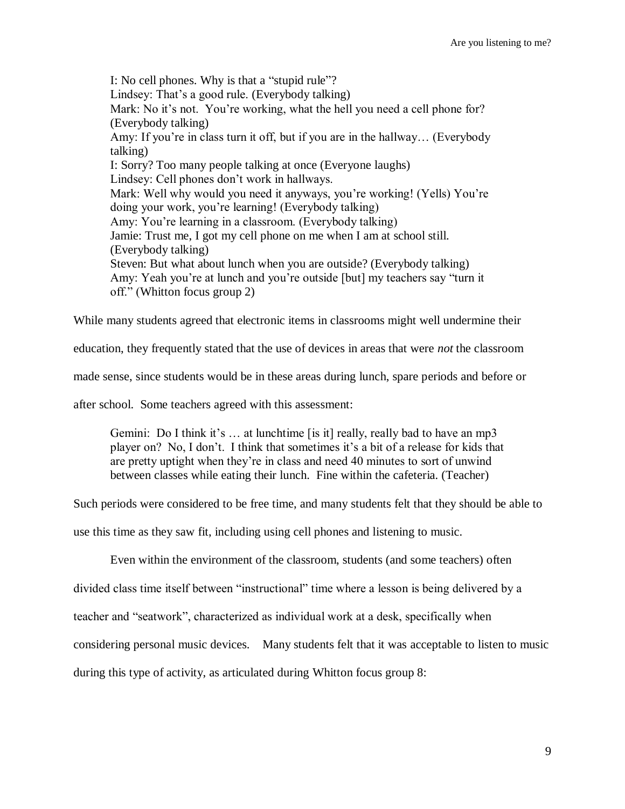I: No cell phones. Why is that a "stupid rule"? Lindsey: That's a good rule. (Everybody talking) Mark: No it's not. You're working, what the hell you need a cell phone for? (Everybody talking) Amy: If you"re in class turn it off, but if you are in the hallway… (Everybody talking) I: Sorry? Too many people talking at once (Everyone laughs) Lindsey: Cell phones don"t work in hallways. Mark: Well why would you need it anyways, you"re working! (Yells) You"re doing your work, you"re learning! (Everybody talking) Amy: You"re learning in a classroom. (Everybody talking) Jamie: Trust me, I got my cell phone on me when I am at school still. (Everybody talking) Steven: But what about lunch when you are outside? (Everybody talking) Amy: Yeah you"re at lunch and you"re outside [but] my teachers say "turn it off." (Whitton focus group 2)

While many students agreed that electronic items in classrooms might well undermine their

education, they frequently stated that the use of devices in areas that were *not* the classroom

made sense, since students would be in these areas during lunch, spare periods and before or

after school. Some teachers agreed with this assessment:

Gemini: Do I think it's  $\dots$  at lunchtime [is it] really, really bad to have an mp3 player on? No, I don"t. I think that sometimes it"s a bit of a release for kids that are pretty uptight when they"re in class and need 40 minutes to sort of unwind between classes while eating their lunch. Fine within the cafeteria. (Teacher)

Such periods were considered to be free time, and many students felt that they should be able to

use this time as they saw fit, including using cell phones and listening to music.

Even within the environment of the classroom, students (and some teachers) often

divided class time itself between "instructional" time where a lesson is being delivered by a

teacher and "seatwork", characterized as individual work at a desk, specifically when

considering personal music devices. Many students felt that it was acceptable to listen to music

during this type of activity, as articulated during Whitton focus group 8: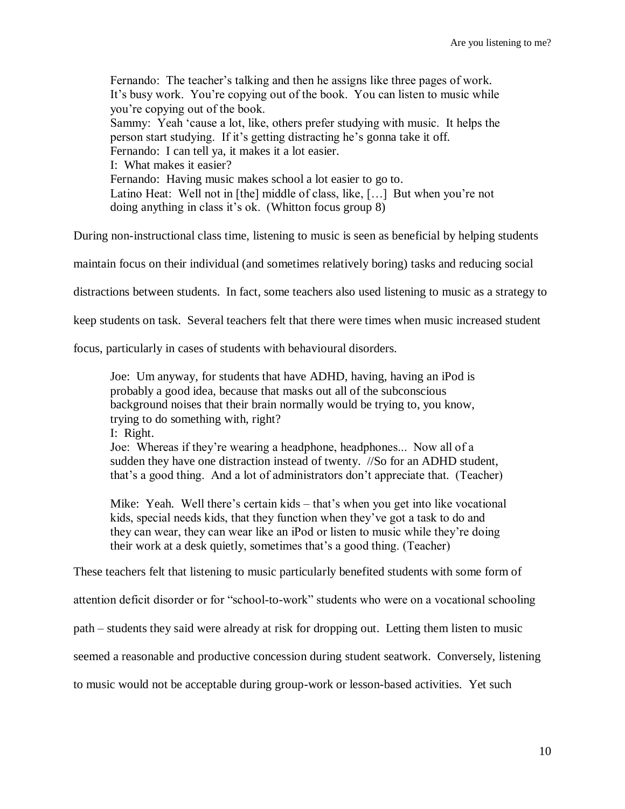Fernando: The teacher"s talking and then he assigns like three pages of work. It's busy work. You're copying out of the book. You can listen to music while you"re copying out of the book. Sammy: Yeah "cause a lot, like, others prefer studying with music. It helps the person start studying. If it"s getting distracting he"s gonna take it off. Fernando: I can tell ya, it makes it a lot easier. I: What makes it easier? Fernando: Having music makes school a lot easier to go to. Latino Heat: Well not in [the] middle of class, like, [...] But when you're not doing anything in class it's ok. (Whitton focus group 8)

During non-instructional class time, listening to music is seen as beneficial by helping students

maintain focus on their individual (and sometimes relatively boring) tasks and reducing social

distractions between students. In fact, some teachers also used listening to music as a strategy to

keep students on task. Several teachers felt that there were times when music increased student

focus, particularly in cases of students with behavioural disorders.

Joe: Um anyway, for students that have ADHD, having, having an iPod is probably a good idea, because that masks out all of the subconscious background noises that their brain normally would be trying to, you know, trying to do something with, right? I: Right.

Joe: Whereas if they"re wearing a headphone, headphones... Now all of a sudden they have one distraction instead of twenty. //So for an ADHD student, that"s a good thing. And a lot of administrators don"t appreciate that. (Teacher)

Mike: Yeah. Well there's certain kids – that's when you get into like vocational kids, special needs kids, that they function when they"ve got a task to do and they can wear, they can wear like an iPod or listen to music while they"re doing their work at a desk quietly, sometimes that"s a good thing. (Teacher)

These teachers felt that listening to music particularly benefited students with some form of

attention deficit disorder or for "school-to-work" students who were on a vocational schooling

path – students they said were already at risk for dropping out. Letting them listen to music

seemed a reasonable and productive concession during student seatwork. Conversely, listening

to music would not be acceptable during group-work or lesson-based activities. Yet such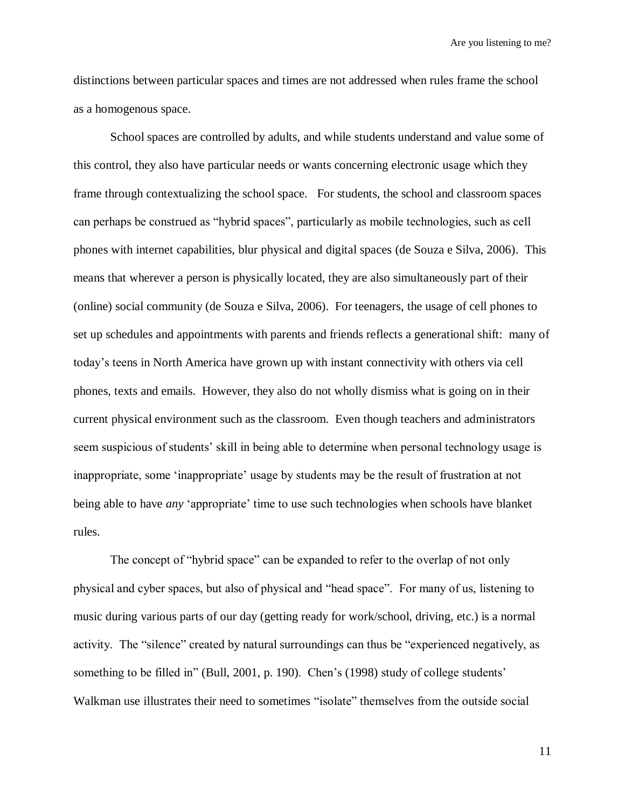distinctions between particular spaces and times are not addressed when rules frame the school as a homogenous space.

School spaces are controlled by adults, and while students understand and value some of this control, they also have particular needs or wants concerning electronic usage which they frame through contextualizing the school space. For students, the school and classroom spaces can perhaps be construed as "hybrid spaces", particularly as mobile technologies, such as cell phones with internet capabilities, blur physical and digital spaces (de Souza e Silva, 2006). This means that wherever a person is physically located, they are also simultaneously part of their (online) social community (de Souza e Silva, 2006). For teenagers, the usage of cell phones to set up schedules and appointments with parents and friends reflects a generational shift: many of today"s teens in North America have grown up with instant connectivity with others via cell phones, texts and emails. However, they also do not wholly dismiss what is going on in their current physical environment such as the classroom. Even though teachers and administrators seem suspicious of students' skill in being able to determine when personal technology usage is inappropriate, some 'inappropriate' usage by students may be the result of frustration at not being able to have *any* "appropriate" time to use such technologies when schools have blanket rules.

The concept of "hybrid space" can be expanded to refer to the overlap of not only physical and cyber spaces, but also of physical and "head space". For many of us, listening to music during various parts of our day (getting ready for work/school, driving, etc.) is a normal activity. The "silence" created by natural surroundings can thus be "experienced negatively, as something to be filled in" (Bull, 2001, p. 190). Chen's (1998) study of college students' Walkman use illustrates their need to sometimes "isolate" themselves from the outside social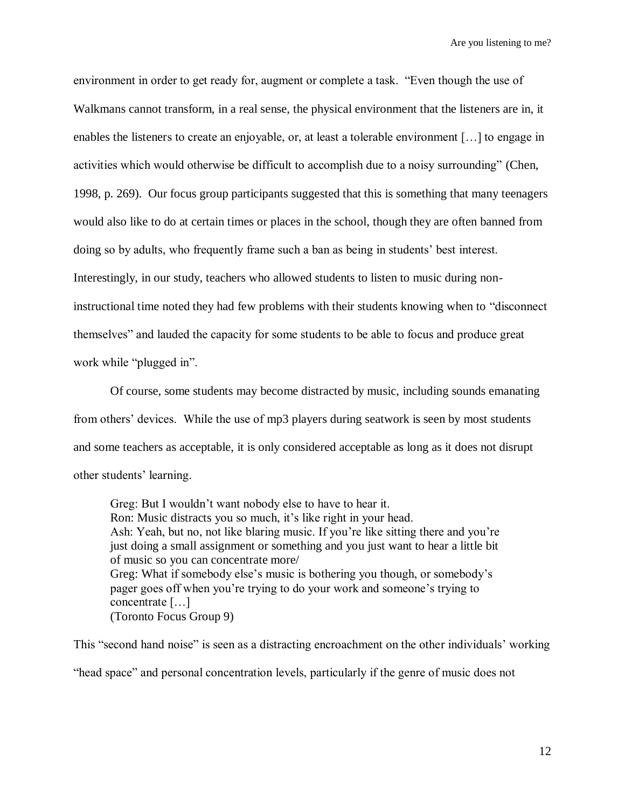environment in order to get ready for, augment or complete a task. "Even though the use of Walkmans cannot transform, in a real sense, the physical environment that the listeners are in, it enables the listeners to create an enjoyable, or, at least a tolerable environment […] to engage in activities which would otherwise be difficult to accomplish due to a noisy surrounding" (Chen, 1998, p. 269). Our focus group participants suggested that this is something that many teenagers would also like to do at certain times or places in the school, though they are often banned from doing so by adults, who frequently frame such a ban as being in students" best interest. Interestingly, in our study, teachers who allowed students to listen to music during noninstructional time noted they had few problems with their students knowing when to "disconnect themselves" and lauded the capacity for some students to be able to focus and produce great work while "plugged in".

Of course, some students may become distracted by music, including sounds emanating from others" devices. While the use of mp3 players during seatwork is seen by most students and some teachers as acceptable, it is only considered acceptable as long as it does not disrupt other students' learning.

Greg: But I wouldn"t want nobody else to have to hear it. Ron: Music distracts you so much, it's like right in your head. Ash: Yeah, but no, not like blaring music. If you"re like sitting there and you"re just doing a small assignment or something and you just want to hear a little bit of music so you can concentrate more/ Greg: What if somebody else's music is bothering you though, or somebody's pager goes off when you"re trying to do your work and someone"s trying to concentrate […] (Toronto Focus Group 9)

This "second hand noise" is seen as a distracting encroachment on the other individuals" working "head space" and personal concentration levels, particularly if the genre of music does not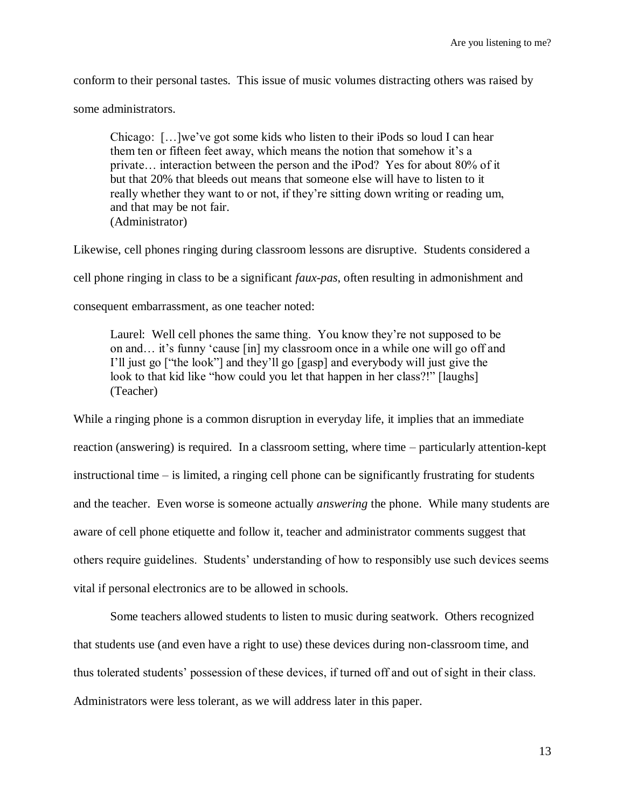conform to their personal tastes. This issue of music volumes distracting others was raised by

some administrators.

Chicago: […]we"ve got some kids who listen to their iPods so loud I can hear them ten or fifteen feet away, which means the notion that somehow it's a private… interaction between the person and the iPod? Yes for about 80% of it but that 20% that bleeds out means that someone else will have to listen to it really whether they want to or not, if they"re sitting down writing or reading um, and that may be not fair. (Administrator)

Likewise, cell phones ringing during classroom lessons are disruptive. Students considered a cell phone ringing in class to be a significant *faux-pas*, often resulting in admonishment and consequent embarrassment, as one teacher noted:

Laurel: Well cell phones the same thing. You know they"re not supposed to be on and... it's funny 'cause [in] my classroom once in a while one will go off and I"ll just go ["the look"] and they"ll go [gasp] and everybody will just give the look to that kid like "how could you let that happen in her class?!" [laughs] (Teacher)

While a ringing phone is a common disruption in everyday life, it implies that an immediate reaction (answering) is required. In a classroom setting, where time – particularly attention-kept instructional time – is limited, a ringing cell phone can be significantly frustrating for students and the teacher. Even worse is someone actually *answering* the phone. While many students are aware of cell phone etiquette and follow it, teacher and administrator comments suggest that others require guidelines. Students" understanding of how to responsibly use such devices seems vital if personal electronics are to be allowed in schools.

Some teachers allowed students to listen to music during seatwork. Others recognized that students use (and even have a right to use) these devices during non-classroom time, and thus tolerated students" possession of these devices, if turned off and out of sight in their class. Administrators were less tolerant, as we will address later in this paper.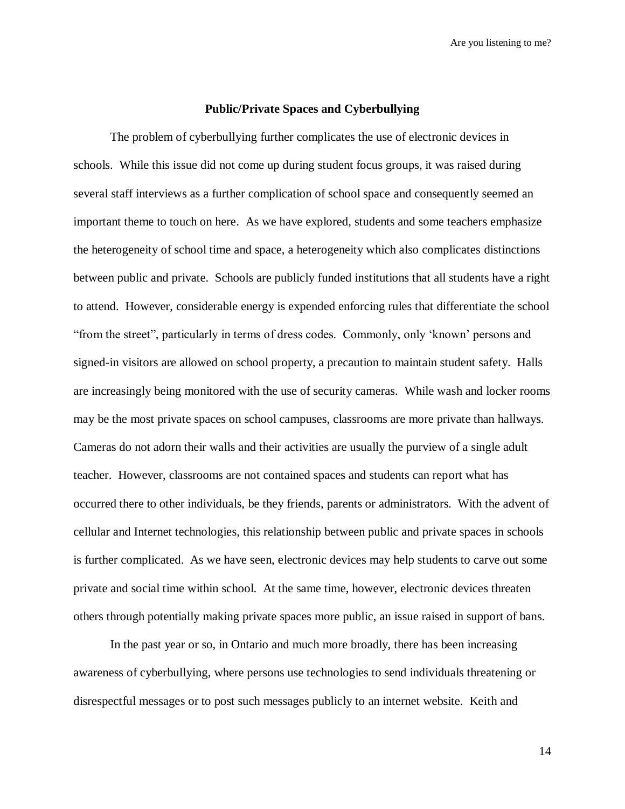#### **Public/Private Spaces and Cyberbullying**

The problem of cyberbullying further complicates the use of electronic devices in schools. While this issue did not come up during student focus groups, it was raised during several staff interviews as a further complication of school space and consequently seemed an important theme to touch on here. As we have explored, students and some teachers emphasize the heterogeneity of school time and space, a heterogeneity which also complicates distinctions between public and private. Schools are publicly funded institutions that all students have a right to attend. However, considerable energy is expended enforcing rules that differentiate the school "from the street", particularly in terms of dress codes. Commonly, only "known" persons and signed-in visitors are allowed on school property, a precaution to maintain student safety. Halls are increasingly being monitored with the use of security cameras. While wash and locker rooms may be the most private spaces on school campuses, classrooms are more private than hallways. Cameras do not adorn their walls and their activities are usually the purview of a single adult teacher. However, classrooms are not contained spaces and students can report what has occurred there to other individuals, be they friends, parents or administrators. With the advent of cellular and Internet technologies, this relationship between public and private spaces in schools is further complicated. As we have seen, electronic devices may help students to carve out some private and social time within school. At the same time, however, electronic devices threaten others through potentially making private spaces more public, an issue raised in support of bans.

In the past year or so, in Ontario and much more broadly, there has been increasing awareness of cyberbullying, where persons use technologies to send individuals threatening or disrespectful messages or to post such messages publicly to an internet website. Keith and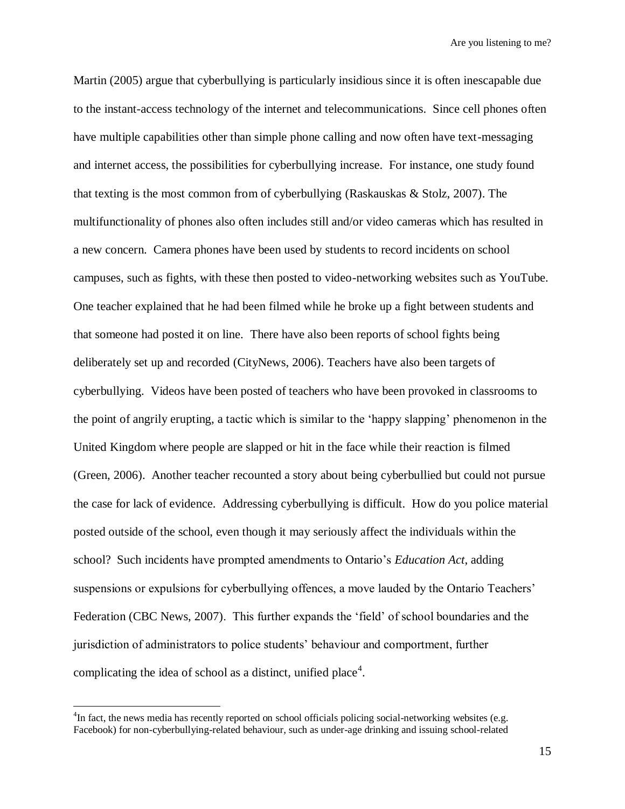Martin (2005) argue that cyberbullying is particularly insidious since it is often inescapable due to the instant-access technology of the internet and telecommunications. Since cell phones often have multiple capabilities other than simple phone calling and now often have text-messaging and internet access, the possibilities for cyberbullying increase. For instance, one study found that texting is the most common from of cyberbullying (Raskauskas & Stolz, 2007). The multifunctionality of phones also often includes still and/or video cameras which has resulted in a new concern. Camera phones have been used by students to record incidents on school campuses, such as fights, with these then posted to video-networking websites such as YouTube. One teacher explained that he had been filmed while he broke up a fight between students and that someone had posted it on line. There have also been reports of school fights being deliberately set up and recorded (CityNews, 2006). Teachers have also been targets of cyberbullying. Videos have been posted of teachers who have been provoked in classrooms to the point of angrily erupting, a tactic which is similar to the "happy slapping" phenomenon in the United Kingdom where people are slapped or hit in the face while their reaction is filmed (Green, 2006). Another teacher recounted a story about being cyberbullied but could not pursue the case for lack of evidence. Addressing cyberbullying is difficult. How do you police material posted outside of the school, even though it may seriously affect the individuals within the school? Such incidents have prompted amendments to Ontario"s *Education Act*, adding suspensions or expulsions for cyberbullying offences, a move lauded by the Ontario Teachers' Federation (CBC News, 2007). This further expands the "field" of school boundaries and the jurisdiction of administrators to police students" behaviour and comportment, further complicating the idea of school as a distinct, unified place<sup>4</sup>.

 $\overline{a}$ 

<sup>&</sup>lt;sup>4</sup>In fact, the news media has recently reported on school officials policing social-networking websites (e.g. Facebook) for non-cyberbullying-related behaviour, such as under-age drinking and issuing school-related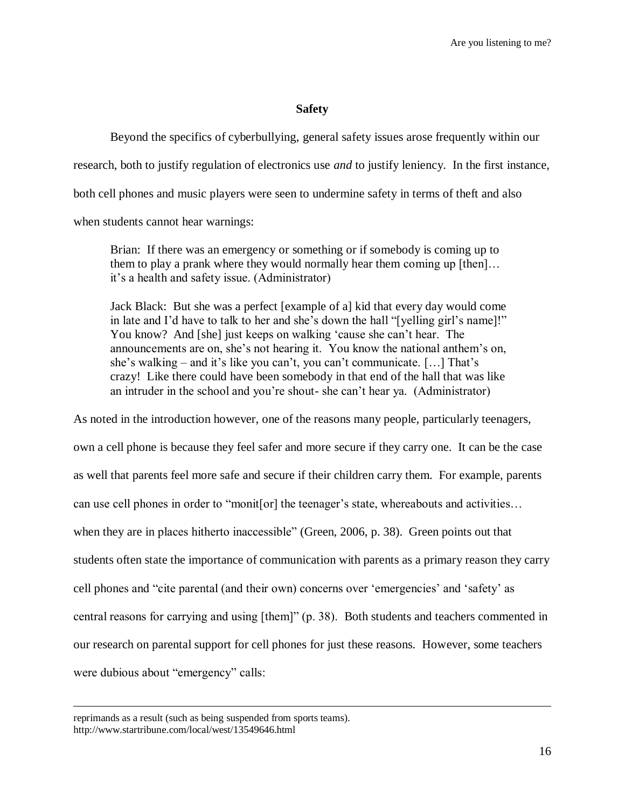#### **Safety**

Beyond the specifics of cyberbullying, general safety issues arose frequently within our research, both to justify regulation of electronics use *and* to justify leniency. In the first instance, both cell phones and music players were seen to undermine safety in terms of theft and also when students cannot hear warnings:

Brian: If there was an emergency or something or if somebody is coming up to them to play a prank where they would normally hear them coming up [then]… it"s a health and safety issue. (Administrator)

Jack Black: But she was a perfect [example of a] kid that every day would come in late and I"d have to talk to her and she"s down the hall "[yelling girl"s name]!" You know? And [she] just keeps on walking 'cause she can't hear. The announcements are on, she"s not hearing it. You know the national anthem"s on, she's walking – and it's like you can't, you can't communicate.  $[\dots]$  That's crazy! Like there could have been somebody in that end of the hall that was like an intruder in the school and you"re shout- she can"t hear ya. (Administrator)

As noted in the introduction however, one of the reasons many people, particularly teenagers, own a cell phone is because they feel safer and more secure if they carry one. It can be the case as well that parents feel more safe and secure if their children carry them. For example, parents can use cell phones in order to "monit[or] the teenager's state, whereabouts and activities... when they are in places hitherto inaccessible" (Green, 2006, p. 38). Green points out that students often state the importance of communication with parents as a primary reason they carry cell phones and "cite parental (and their own) concerns over "emergencies" and "safety" as central reasons for carrying and using [them]" (p. 38). Both students and teachers commented in our research on parental support for cell phones for just these reasons. However, some teachers were dubious about "emergency" calls:

 $\overline{a}$ 

reprimands as a result (such as being suspended from sports teams). http://www.startribune.com/local/west/13549646.html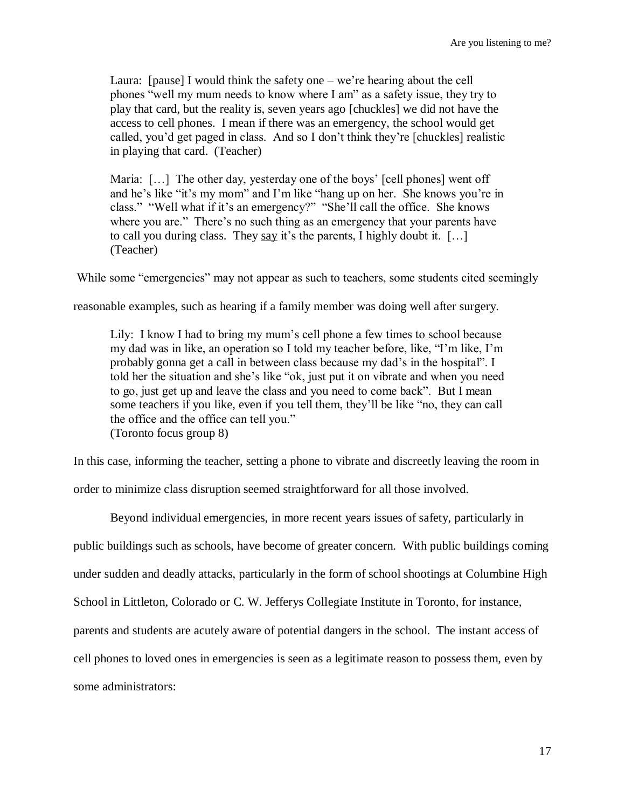Laura: [pause] I would think the safety one  $-\text{we're hearing about the cell}$ phones "well my mum needs to know where I am" as a safety issue, they try to play that card, but the reality is, seven years ago [chuckles] we did not have the access to cell phones. I mean if there was an emergency, the school would get called, you"d get paged in class. And so I don"t think they"re [chuckles] realistic in playing that card. (Teacher)

Maria: [...] The other day, yesterday one of the boys' [cell phones] went off and he"s like "it"s my mom" and I"m like "hang up on her. She knows you"re in class." "Well what if it's an emergency?" "She'll call the office. She knows where you are." There's no such thing as an emergency that your parents have to call you during class. They say it's the parents, I highly doubt it.  $[\dots]$ (Teacher)

While some "emergencies" may not appear as such to teachers, some students cited seemingly

reasonable examples, such as hearing if a family member was doing well after surgery.

Lily: I know I had to bring my mum"s cell phone a few times to school because my dad was in like, an operation so I told my teacher before, like, "I"m like, I"m probably gonna get a call in between class because my dad"s in the hospital". I told her the situation and she"s like "ok, just put it on vibrate and when you need to go, just get up and leave the class and you need to come back". But I mean some teachers if you like, even if you tell them, they"ll be like "no, they can call the office and the office can tell you." (Toronto focus group 8)

In this case, informing the teacher, setting a phone to vibrate and discreetly leaving the room in

order to minimize class disruption seemed straightforward for all those involved.

Beyond individual emergencies, in more recent years issues of safety, particularly in public buildings such as schools, have become of greater concern. With public buildings coming under sudden and deadly attacks, particularly in the form of school shootings at Columbine High School in Littleton, Colorado or C. W. Jefferys Collegiate Institute in Toronto, for instance, parents and students are acutely aware of potential dangers in the school. The instant access of cell phones to loved ones in emergencies is seen as a legitimate reason to possess them, even by some administrators: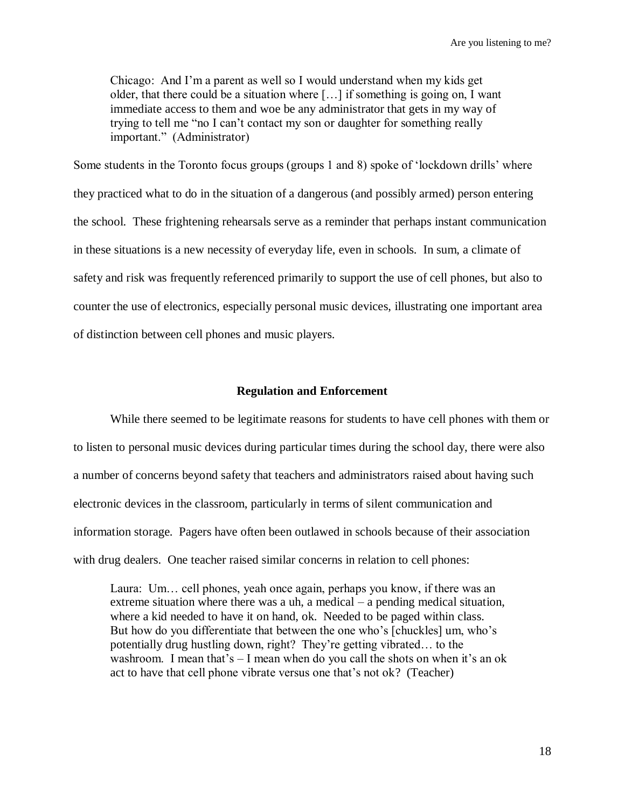Chicago: And I"m a parent as well so I would understand when my kids get older, that there could be a situation where […] if something is going on, I want immediate access to them and woe be any administrator that gets in my way of trying to tell me "no I can"t contact my son or daughter for something really important." (Administrator)

Some students in the Toronto focus groups (groups 1 and 8) spoke of "lockdown drills" where they practiced what to do in the situation of a dangerous (and possibly armed) person entering the school. These frightening rehearsals serve as a reminder that perhaps instant communication in these situations is a new necessity of everyday life, even in schools. In sum, a climate of safety and risk was frequently referenced primarily to support the use of cell phones, but also to counter the use of electronics, especially personal music devices, illustrating one important area of distinction between cell phones and music players.

#### **Regulation and Enforcement**

While there seemed to be legitimate reasons for students to have cell phones with them or to listen to personal music devices during particular times during the school day, there were also a number of concerns beyond safety that teachers and administrators raised about having such electronic devices in the classroom, particularly in terms of silent communication and information storage. Pagers have often been outlawed in schools because of their association with drug dealers. One teacher raised similar concerns in relation to cell phones:

Laura: Um… cell phones, yeah once again, perhaps you know, if there was an extreme situation where there was a uh, a medical – a pending medical situation, where a kid needed to have it on hand, ok. Needed to be paged within class. But how do you differentiate that between the one who"s [chuckles] um, who"s potentially drug hustling down, right? They"re getting vibrated… to the washroom. I mean that's  $-$  I mean when do you call the shots on when it's an ok act to have that cell phone vibrate versus one that"s not ok? (Teacher)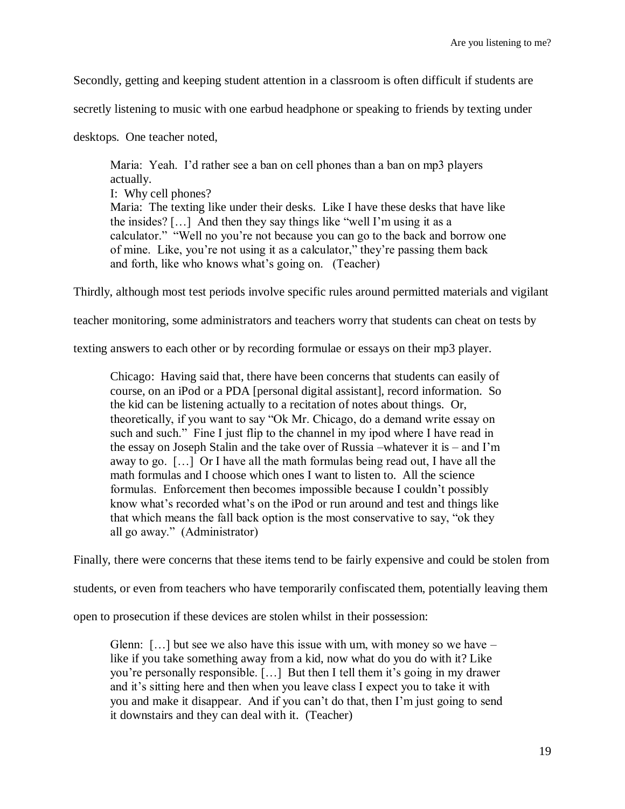Secondly, getting and keeping student attention in a classroom is often difficult if students are

secretly listening to music with one earbud headphone or speaking to friends by texting under

desktops. One teacher noted,

Maria: Yeah. I'd rather see a ban on cell phones than a ban on mp3 players actually. I: Why cell phones? Maria: The texting like under their desks. Like I have these desks that have like the insides? […] And then they say things like "well I"m using it as a calculator." "Well no you"re not because you can go to the back and borrow one of mine. Like, you"re not using it as a calculator," they"re passing them back and forth, like who knows what"s going on. (Teacher)

Thirdly, although most test periods involve specific rules around permitted materials and vigilant

teacher monitoring, some administrators and teachers worry that students can cheat on tests by

texting answers to each other or by recording formulae or essays on their mp3 player.

Chicago: Having said that, there have been concerns that students can easily of course, on an iPod or a PDA [personal digital assistant], record information. So the kid can be listening actually to a recitation of notes about things. Or, theoretically, if you want to say "Ok Mr. Chicago, do a demand write essay on such and such." Fine I just flip to the channel in my ipod where I have read in the essay on Joseph Stalin and the take over of Russia –whatever it is – and I"m away to go. […] Or I have all the math formulas being read out, I have all the math formulas and I choose which ones I want to listen to. All the science formulas. Enforcement then becomes impossible because I couldn"t possibly know what's recorded what's on the iPod or run around and test and things like that which means the fall back option is the most conservative to say, "ok they all go away." (Administrator)

Finally, there were concerns that these items tend to be fairly expensive and could be stolen from

students, or even from teachers who have temporarily confiscated them, potentially leaving them

open to prosecution if these devices are stolen whilst in their possession:

Glenn:  $[\dots]$  but see we also have this issue with um, with money so we have – like if you take something away from a kid, now what do you do with it? Like you're personally responsible. [...] But then I tell them it's going in my drawer and it's sitting here and then when you leave class I expect you to take it with you and make it disappear. And if you can"t do that, then I"m just going to send it downstairs and they can deal with it. (Teacher)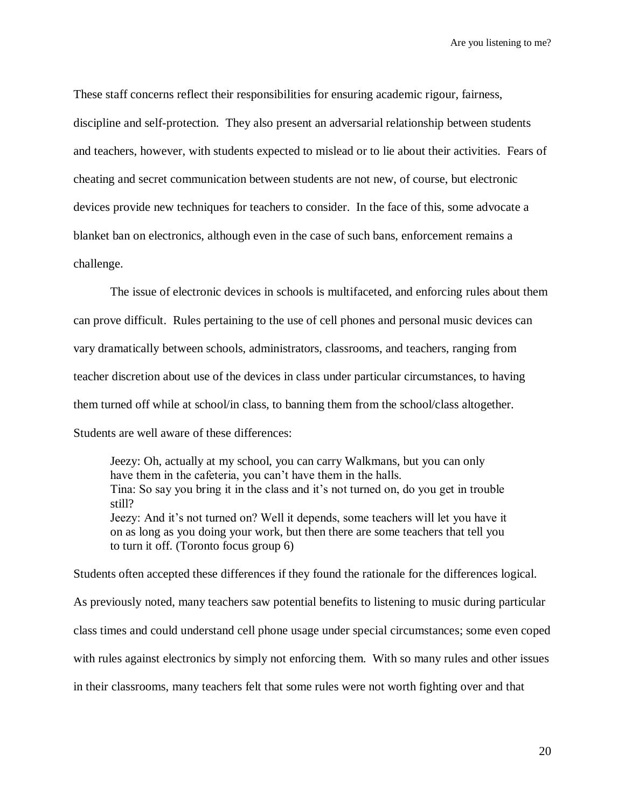These staff concerns reflect their responsibilities for ensuring academic rigour, fairness, discipline and self-protection. They also present an adversarial relationship between students and teachers, however, with students expected to mislead or to lie about their activities. Fears of cheating and secret communication between students are not new, of course, but electronic devices provide new techniques for teachers to consider. In the face of this, some advocate a blanket ban on electronics, although even in the case of such bans, enforcement remains a challenge.

The issue of electronic devices in schools is multifaceted, and enforcing rules about them can prove difficult. Rules pertaining to the use of cell phones and personal music devices can vary dramatically between schools, administrators, classrooms, and teachers, ranging from teacher discretion about use of the devices in class under particular circumstances, to having them turned off while at school/in class, to banning them from the school/class altogether. Students are well aware of these differences:

Jeezy: Oh, actually at my school, you can carry Walkmans, but you can only have them in the cafeteria, you can't have them in the halls. Tina: So say you bring it in the class and it"s not turned on, do you get in trouble still? Jeezy: And it's not turned on? Well it depends, some teachers will let you have it on as long as you doing your work, but then there are some teachers that tell you to turn it off. (Toronto focus group 6)

Students often accepted these differences if they found the rationale for the differences logical.

As previously noted, many teachers saw potential benefits to listening to music during particular

class times and could understand cell phone usage under special circumstances; some even coped

with rules against electronics by simply not enforcing them. With so many rules and other issues

in their classrooms, many teachers felt that some rules were not worth fighting over and that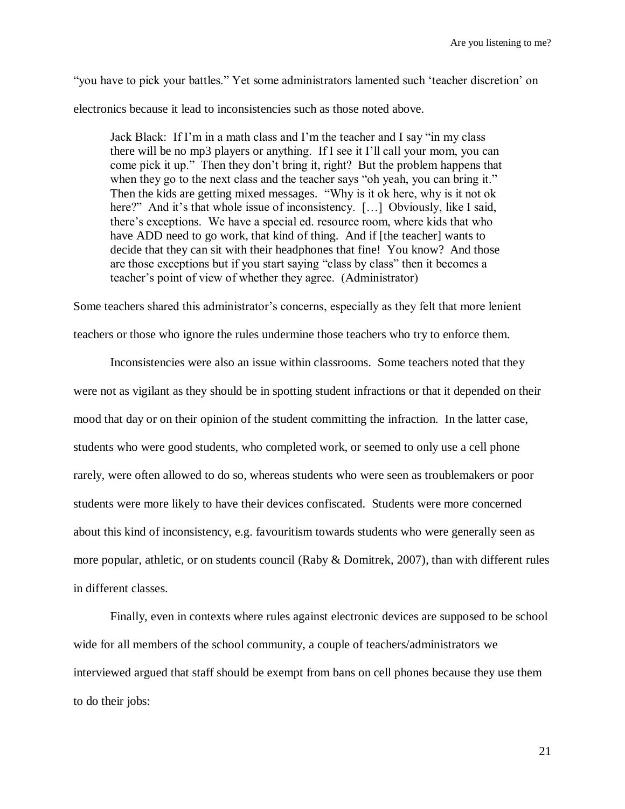"you have to pick your battles." Yet some administrators lamented such "teacher discretion" on electronics because it lead to inconsistencies such as those noted above.

Jack Black: If I"m in a math class and I"m the teacher and I say "in my class there will be no mp3 players or anything. If I see it I"ll call your mom, you can come pick it up." Then they don"t bring it, right? But the problem happens that when they go to the next class and the teacher says "oh yeah, you can bring it." Then the kids are getting mixed messages. "Why is it ok here, why is it not ok here?" And it's that whole issue of inconsistency. [...] Obviously, like I said, there"s exceptions. We have a special ed. resource room, where kids that who have ADD need to go work, that kind of thing. And if [the teacher] wants to decide that they can sit with their headphones that fine! You know? And those are those exceptions but if you start saying "class by class" then it becomes a teacher"s point of view of whether they agree. (Administrator)

Some teachers shared this administrator"s concerns, especially as they felt that more lenient

teachers or those who ignore the rules undermine those teachers who try to enforce them.

Inconsistencies were also an issue within classrooms. Some teachers noted that they were not as vigilant as they should be in spotting student infractions or that it depended on their mood that day or on their opinion of the student committing the infraction. In the latter case, students who were good students, who completed work, or seemed to only use a cell phone rarely, were often allowed to do so, whereas students who were seen as troublemakers or poor students were more likely to have their devices confiscated. Students were more concerned about this kind of inconsistency, e.g. favouritism towards students who were generally seen as more popular, athletic, or on students council (Raby & Domitrek, 2007), than with different rules in different classes.

Finally, even in contexts where rules against electronic devices are supposed to be school wide for all members of the school community, a couple of teachers/administrators we interviewed argued that staff should be exempt from bans on cell phones because they use them to do their jobs: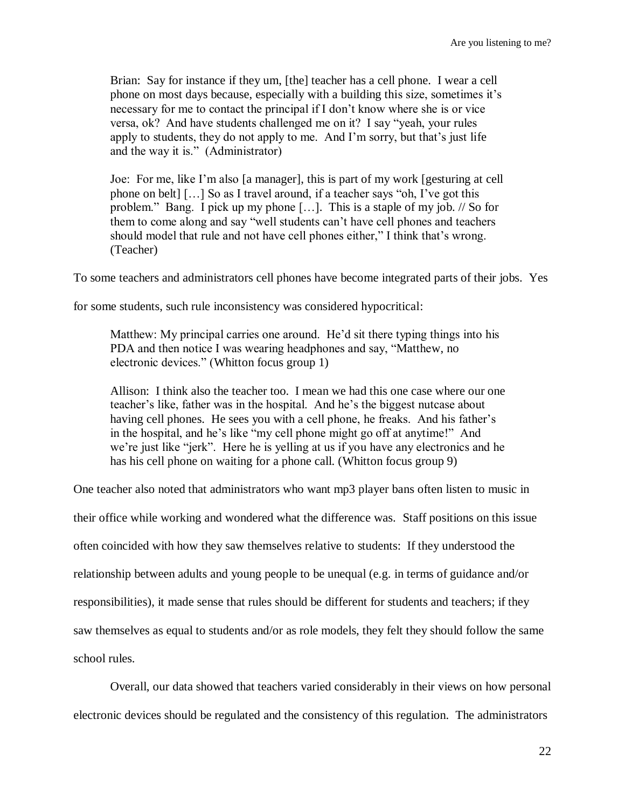Brian: Say for instance if they um, [the] teacher has a cell phone. I wear a cell phone on most days because, especially with a building this size, sometimes it"s necessary for me to contact the principal if I don"t know where she is or vice versa, ok? And have students challenged me on it? I say "yeah, your rules apply to students, they do not apply to me. And I"m sorry, but that"s just life and the way it is." (Administrator)

Joe: For me, like I"m also [a manager], this is part of my work [gesturing at cell phone on belt] […] So as I travel around, if a teacher says "oh, I"ve got this problem." Bang. I pick up my phone […]. This is a staple of my job. // So for them to come along and say "well students can"t have cell phones and teachers should model that rule and not have cell phones either," I think that's wrong. (Teacher)

To some teachers and administrators cell phones have become integrated parts of their jobs. Yes

for some students, such rule inconsistency was considered hypocritical:

Matthew: My principal carries one around. He'd sit there typing things into his PDA and then notice I was wearing headphones and say, "Matthew, no electronic devices." (Whitton focus group 1)

Allison: I think also the teacher too. I mean we had this one case where our one teacher"s like, father was in the hospital. And he"s the biggest nutcase about having cell phones. He sees you with a cell phone, he freaks. And his father's in the hospital, and he"s like "my cell phone might go off at anytime!" And we"re just like "jerk". Here he is yelling at us if you have any electronics and he has his cell phone on waiting for a phone call. (Whitton focus group 9)

One teacher also noted that administrators who want mp3 player bans often listen to music in

their office while working and wondered what the difference was. Staff positions on this issue

often coincided with how they saw themselves relative to students: If they understood the

relationship between adults and young people to be unequal (e.g. in terms of guidance and/or

responsibilities), it made sense that rules should be different for students and teachers; if they

saw themselves as equal to students and/or as role models, they felt they should follow the same

school rules.

Overall, our data showed that teachers varied considerably in their views on how personal electronic devices should be regulated and the consistency of this regulation. The administrators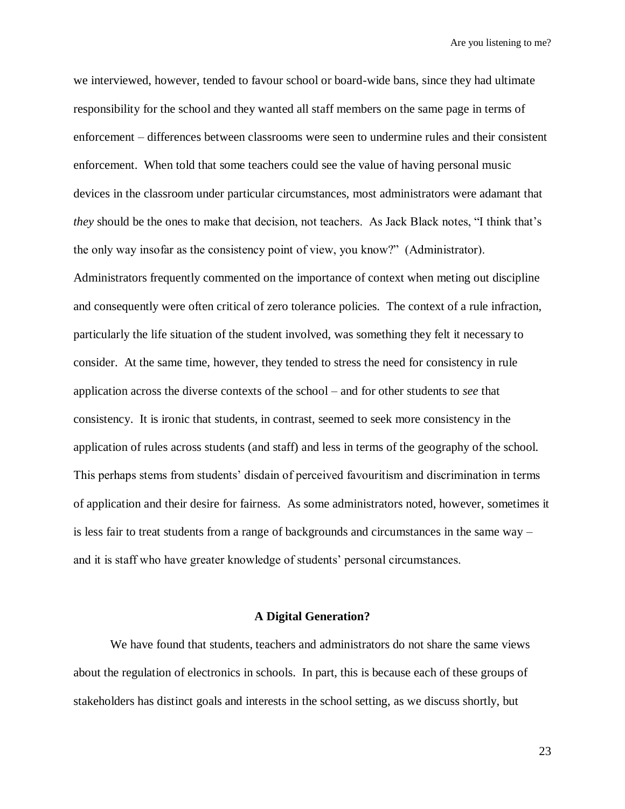we interviewed, however, tended to favour school or board-wide bans, since they had ultimate responsibility for the school and they wanted all staff members on the same page in terms of enforcement – differences between classrooms were seen to undermine rules and their consistent enforcement. When told that some teachers could see the value of having personal music devices in the classroom under particular circumstances, most administrators were adamant that *they* should be the ones to make that decision, not teachers. As Jack Black notes, "I think that's the only way insofar as the consistency point of view, you know?" (Administrator). Administrators frequently commented on the importance of context when meting out discipline and consequently were often critical of zero tolerance policies. The context of a rule infraction, particularly the life situation of the student involved, was something they felt it necessary to consider. At the same time, however, they tended to stress the need for consistency in rule application across the diverse contexts of the school – and for other students to *see* that consistency. It is ironic that students, in contrast, seemed to seek more consistency in the application of rules across students (and staff) and less in terms of the geography of the school. This perhaps stems from students' disdain of perceived favouritism and discrimination in terms of application and their desire for fairness. As some administrators noted, however, sometimes it is less fair to treat students from a range of backgrounds and circumstances in the same way – and it is staff who have greater knowledge of students' personal circumstances.

#### **A Digital Generation?**

We have found that students, teachers and administrators do not share the same views about the regulation of electronics in schools. In part, this is because each of these groups of stakeholders has distinct goals and interests in the school setting, as we discuss shortly, but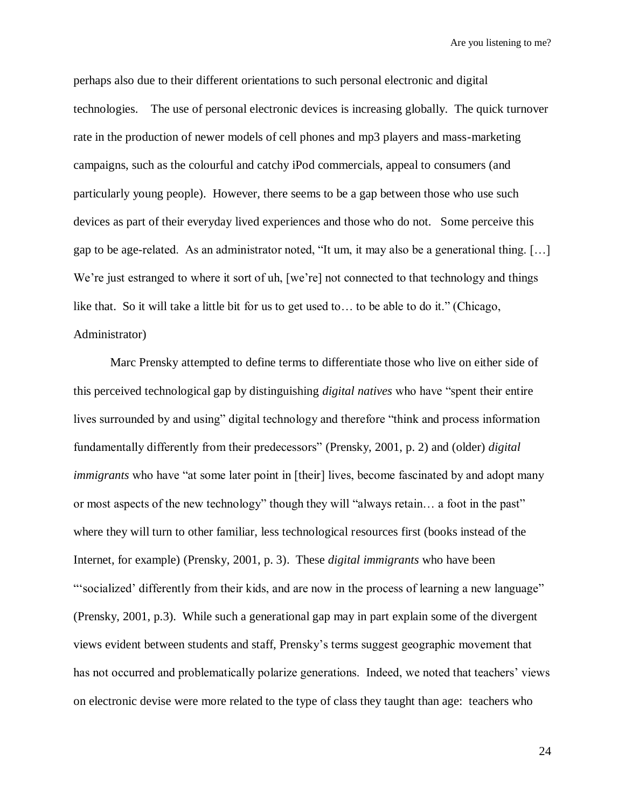perhaps also due to their different orientations to such personal electronic and digital technologies. The use of personal electronic devices is increasing globally. The quick turnover rate in the production of newer models of cell phones and mp3 players and mass-marketing campaigns, such as the colourful and catchy iPod commercials, appeal to consumers (and particularly young people). However, there seems to be a gap between those who use such devices as part of their everyday lived experiences and those who do not. Some perceive this gap to be age-related. As an administrator noted, "It um, it may also be a generational thing. […] We're just estranged to where it sort of uh, [we're] not connected to that technology and things like that. So it will take a little bit for us to get used to… to be able to do it." (Chicago, Administrator)

Marc Prensky attempted to define terms to differentiate those who live on either side of this perceived technological gap by distinguishing *digital natives* who have "spent their entire lives surrounded by and using" digital technology and therefore "think and process information fundamentally differently from their predecessors" (Prensky, 2001, p. 2) and (older) *digital immigrants* who have "at some later point in [their] lives, become fascinated by and adopt many or most aspects of the new technology" though they will "always retain… a foot in the past" where they will turn to other familiar, less technological resources first (books instead of the Internet, for example) (Prensky, 2001, p. 3). These *digital immigrants* who have been "socialized' differently from their kids, and are now in the process of learning a new language" (Prensky, 2001, p.3). While such a generational gap may in part explain some of the divergent views evident between students and staff, Prensky"s terms suggest geographic movement that has not occurred and problematically polarize generations. Indeed, we noted that teachers' views on electronic devise were more related to the type of class they taught than age: teachers who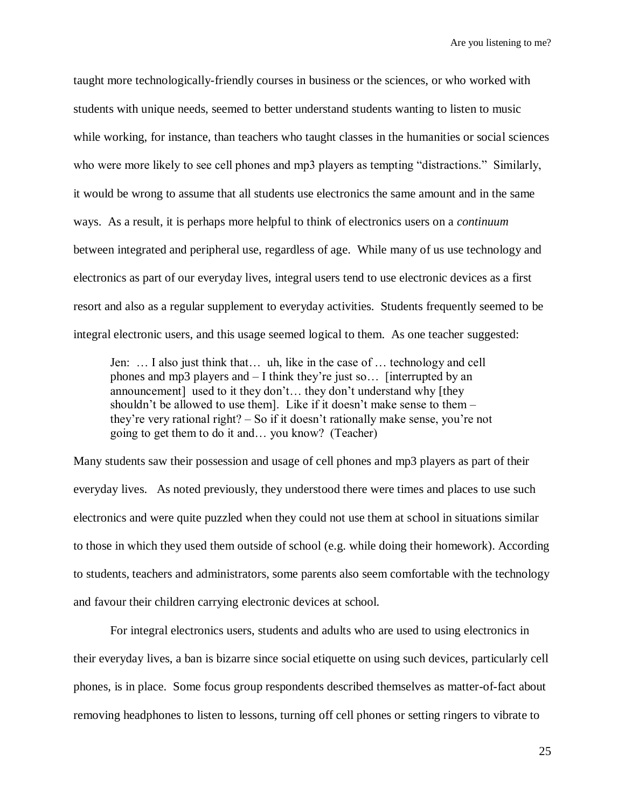taught more technologically-friendly courses in business or the sciences, or who worked with students with unique needs, seemed to better understand students wanting to listen to music while working, for instance, than teachers who taught classes in the humanities or social sciences who were more likely to see cell phones and mp3 players as tempting "distractions." Similarly, it would be wrong to assume that all students use electronics the same amount and in the same ways. As a result, it is perhaps more helpful to think of electronics users on a *continuum* between integrated and peripheral use, regardless of age. While many of us use technology and electronics as part of our everyday lives, integral users tend to use electronic devices as a first resort and also as a regular supplement to everyday activities. Students frequently seemed to be integral electronic users, and this usage seemed logical to them. As one teacher suggested:

Jen: … I also just think that… uh, like in the case of … technology and cell phones and mp3 players and – I think they"re just so… [interrupted by an announcement] used to it they don"t… they don"t understand why [they shouldn't be allowed to use them]. Like if it doesn't make sense to them they"re very rational right? – So if it doesn"t rationally make sense, you"re not going to get them to do it and… you know? (Teacher)

Many students saw their possession and usage of cell phones and mp3 players as part of their everyday lives. As noted previously, they understood there were times and places to use such electronics and were quite puzzled when they could not use them at school in situations similar to those in which they used them outside of school (e.g. while doing their homework). According to students, teachers and administrators, some parents also seem comfortable with the technology and favour their children carrying electronic devices at school.

For integral electronics users, students and adults who are used to using electronics in their everyday lives, a ban is bizarre since social etiquette on using such devices, particularly cell phones, is in place. Some focus group respondents described themselves as matter-of-fact about removing headphones to listen to lessons, turning off cell phones or setting ringers to vibrate to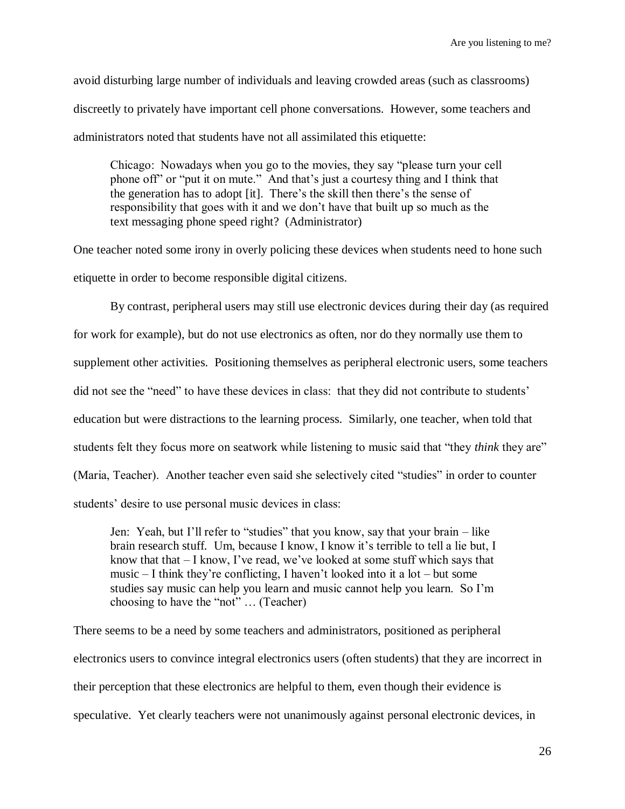avoid disturbing large number of individuals and leaving crowded areas (such as classrooms) discreetly to privately have important cell phone conversations. However, some teachers and administrators noted that students have not all assimilated this etiquette:

Chicago: Nowadays when you go to the movies, they say "please turn your cell phone off" or "put it on mute." And that"s just a courtesy thing and I think that the generation has to adopt [it]. There"s the skill then there"s the sense of responsibility that goes with it and we don"t have that built up so much as the text messaging phone speed right? (Administrator)

One teacher noted some irony in overly policing these devices when students need to hone such etiquette in order to become responsible digital citizens.

By contrast, peripheral users may still use electronic devices during their day (as required for work for example), but do not use electronics as often, nor do they normally use them to supplement other activities. Positioning themselves as peripheral electronic users, some teachers did not see the "need" to have these devices in class: that they did not contribute to students' education but were distractions to the learning process. Similarly, one teacher, when told that students felt they focus more on seatwork while listening to music said that "they *think* they are" (Maria, Teacher). Another teacher even said she selectively cited "studies" in order to counter students' desire to use personal music devices in class:

Jen: Yeah, but I"ll refer to "studies" that you know, say that your brain – like brain research stuff. Um, because I know, I know it's terrible to tell a lie but, I know that that  $-1$  know, I've read, we've looked at some stuff which says that music – I think they"re conflicting, I haven"t looked into it a lot – but some studies say music can help you learn and music cannot help you learn. So I"m choosing to have the "not" … (Teacher)

There seems to be a need by some teachers and administrators, positioned as peripheral electronics users to convince integral electronics users (often students) that they are incorrect in their perception that these electronics are helpful to them, even though their evidence is speculative. Yet clearly teachers were not unanimously against personal electronic devices, in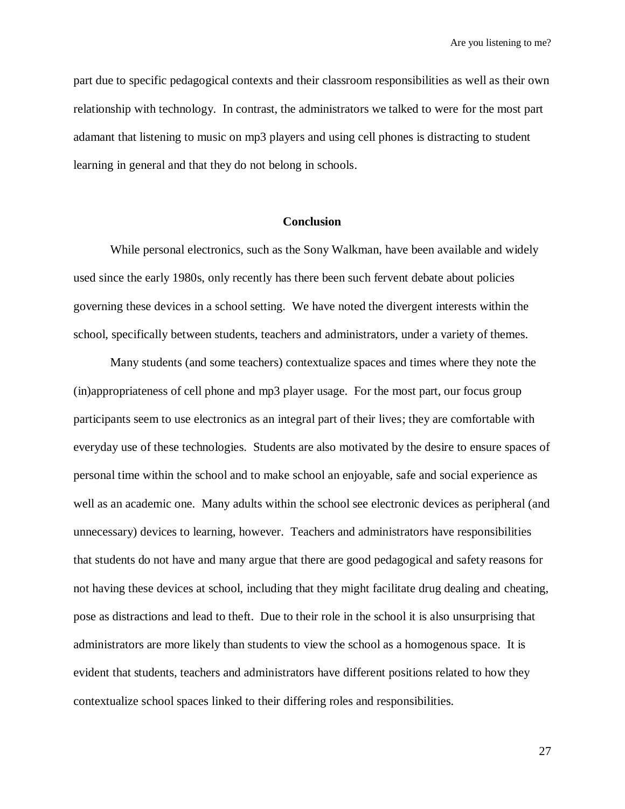part due to specific pedagogical contexts and their classroom responsibilities as well as their own relationship with technology. In contrast, the administrators we talked to were for the most part adamant that listening to music on mp3 players and using cell phones is distracting to student learning in general and that they do not belong in schools.

# **Conclusion**

While personal electronics, such as the Sony Walkman, have been available and widely used since the early 1980s, only recently has there been such fervent debate about policies governing these devices in a school setting. We have noted the divergent interests within the school, specifically between students, teachers and administrators, under a variety of themes.

Many students (and some teachers) contextualize spaces and times where they note the (in)appropriateness of cell phone and mp3 player usage. For the most part, our focus group participants seem to use electronics as an integral part of their lives; they are comfortable with everyday use of these technologies. Students are also motivated by the desire to ensure spaces of personal time within the school and to make school an enjoyable, safe and social experience as well as an academic one. Many adults within the school see electronic devices as peripheral (and unnecessary) devices to learning, however. Teachers and administrators have responsibilities that students do not have and many argue that there are good pedagogical and safety reasons for not having these devices at school, including that they might facilitate drug dealing and cheating, pose as distractions and lead to theft. Due to their role in the school it is also unsurprising that administrators are more likely than students to view the school as a homogenous space. It is evident that students, teachers and administrators have different positions related to how they contextualize school spaces linked to their differing roles and responsibilities.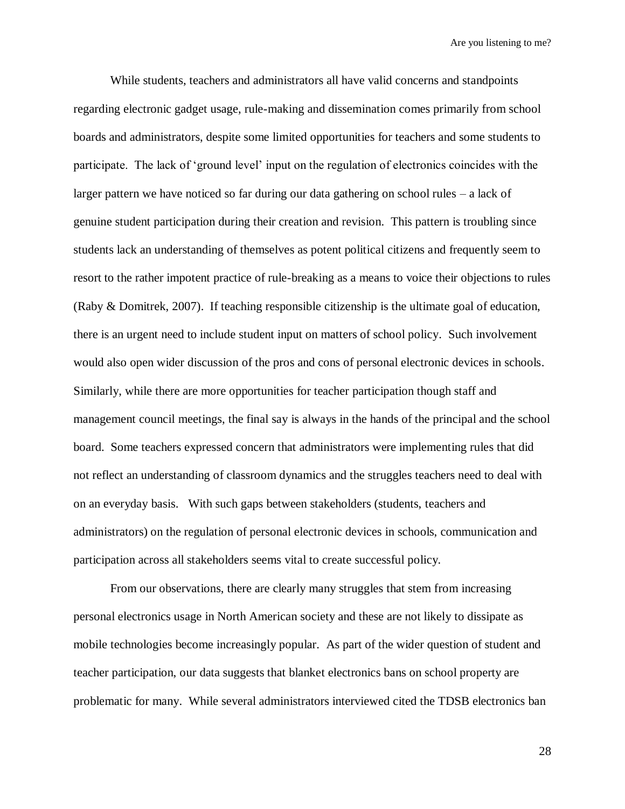While students, teachers and administrators all have valid concerns and standpoints regarding electronic gadget usage, rule-making and dissemination comes primarily from school boards and administrators, despite some limited opportunities for teachers and some students to participate. The lack of "ground level" input on the regulation of electronics coincides with the larger pattern we have noticed so far during our data gathering on school rules – a lack of genuine student participation during their creation and revision. This pattern is troubling since students lack an understanding of themselves as potent political citizens and frequently seem to resort to the rather impotent practice of rule-breaking as a means to voice their objections to rules (Raby & Domitrek, 2007). If teaching responsible citizenship is the ultimate goal of education, there is an urgent need to include student input on matters of school policy. Such involvement would also open wider discussion of the pros and cons of personal electronic devices in schools. Similarly, while there are more opportunities for teacher participation though staff and management council meetings, the final say is always in the hands of the principal and the school board. Some teachers expressed concern that administrators were implementing rules that did not reflect an understanding of classroom dynamics and the struggles teachers need to deal with on an everyday basis. With such gaps between stakeholders (students, teachers and administrators) on the regulation of personal electronic devices in schools, communication and participation across all stakeholders seems vital to create successful policy.

From our observations, there are clearly many struggles that stem from increasing personal electronics usage in North American society and these are not likely to dissipate as mobile technologies become increasingly popular. As part of the wider question of student and teacher participation, our data suggests that blanket electronics bans on school property are problematic for many. While several administrators interviewed cited the TDSB electronics ban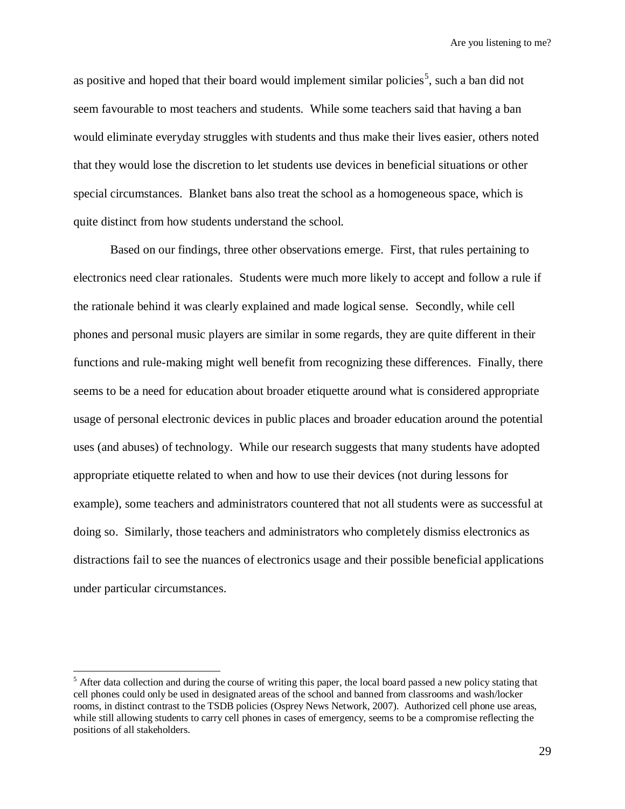as positive and hoped that their board would implement similar policies<sup>5</sup>, such a ban did not seem favourable to most teachers and students. While some teachers said that having a ban would eliminate everyday struggles with students and thus make their lives easier, others noted that they would lose the discretion to let students use devices in beneficial situations or other special circumstances. Blanket bans also treat the school as a homogeneous space, which is quite distinct from how students understand the school.

Based on our findings, three other observations emerge. First, that rules pertaining to electronics need clear rationales. Students were much more likely to accept and follow a rule if the rationale behind it was clearly explained and made logical sense. Secondly, while cell phones and personal music players are similar in some regards, they are quite different in their functions and rule-making might well benefit from recognizing these differences. Finally, there seems to be a need for education about broader etiquette around what is considered appropriate usage of personal electronic devices in public places and broader education around the potential uses (and abuses) of technology. While our research suggests that many students have adopted appropriate etiquette related to when and how to use their devices (not during lessons for example), some teachers and administrators countered that not all students were as successful at doing so. Similarly, those teachers and administrators who completely dismiss electronics as distractions fail to see the nuances of electronics usage and their possible beneficial applications under particular circumstances.

 $\overline{a}$ 

 $<sup>5</sup>$  After data collection and during the course of writing this paper, the local board passed a new policy stating that</sup> cell phones could only be used in designated areas of the school and banned from classrooms and wash/locker rooms, in distinct contrast to the TSDB policies (Osprey News Network, 2007). Authorized cell phone use areas, while still allowing students to carry cell phones in cases of emergency, seems to be a compromise reflecting the positions of all stakeholders.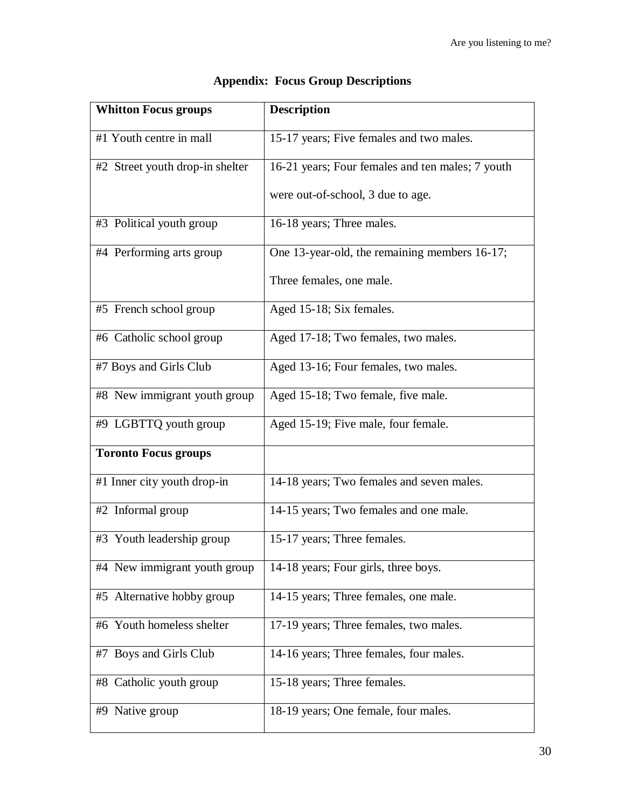| <b>Whitton Focus groups</b>     | <b>Description</b>                               |
|---------------------------------|--------------------------------------------------|
| #1 Youth centre in mall         | 15-17 years; Five females and two males.         |
| #2 Street youth drop-in shelter | 16-21 years; Four females and ten males; 7 youth |
|                                 | were out-of-school, 3 due to age.                |
| #3 Political youth group        | 16-18 years; Three males.                        |
| #4 Performing arts group        | One 13-year-old, the remaining members 16-17;    |
|                                 | Three females, one male.                         |
| #5 French school group          | Aged 15-18; Six females.                         |
| #6 Catholic school group        | Aged 17-18; Two females, two males.              |
| #7 Boys and Girls Club          | Aged 13-16; Four females, two males.             |
| #8 New immigrant youth group    | Aged 15-18; Two female, five male.               |
| #9 LGBTTQ youth group           | Aged 15-19; Five male, four female.              |
| <b>Toronto Focus groups</b>     |                                                  |
| #1 Inner city youth drop-in     | 14-18 years; Two females and seven males.        |
| #2 Informal group               | $14-15$ years; Two females and one male.         |
| #3 Youth leadership group       | 15-17 years; Three females.                      |
| #4 New immigrant youth group    | 14-18 years; Four girls, three boys.             |
| #5 Alternative hobby group      | 14-15 years; Three females, one male.            |
| #6 Youth homeless shelter       | 17-19 years; Three females, two males.           |
| #7 Boys and Girls Club          | 14-16 years; Three females, four males.          |
| #8 Catholic youth group         | 15-18 years; Three females.                      |
| #9 Native group                 | 18-19 years; One female, four males.             |

# **Appendix: Focus Group Descriptions**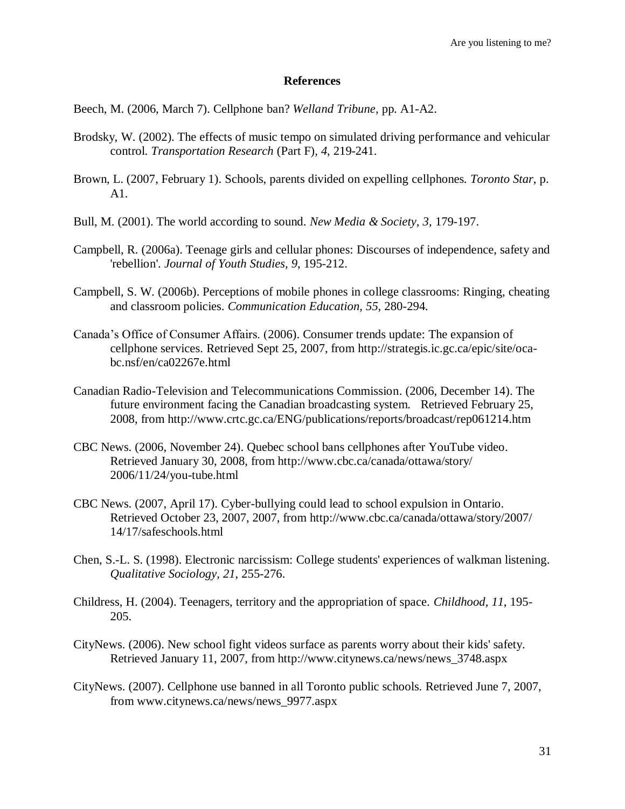# **References**

Beech, M. (2006, March 7). Cellphone ban? *Welland Tribune,* pp. A1-A2.

- Brodsky, W. (2002). The effects of music tempo on simulated driving performance and vehicular control. *Transportation Research* (Part F)*, 4*, 219-241.
- Brown, L. (2007, February 1). Schools, parents divided on expelling cellphones*. Toronto Star*, p. A1.
- Bull, M. (2001). The world according to sound. *New Media & Society, 3*, 179-197.
- Campbell, R. (2006a). Teenage girls and cellular phones: Discourses of independence, safety and 'rebellion'. *Journal of Youth Studies, 9*, 195-212.
- Campbell, S. W. (2006b). Perceptions of mobile phones in college classrooms: Ringing, cheating and classroom policies. *Communication Education, 55*, 280-294.
- Canada"s Office of Consumer Affairs. (2006). Consumer trends update: The expansion of cellphone services. Retrieved Sept 25, 2007, from http://strategis.ic.gc.ca/epic/site/ocabc.nsf/en/ca02267e.html
- Canadian Radio-Television and Telecommunications Commission. (2006, December 14). The future environment facing the Canadian broadcasting system. Retrieved February 25, 2008, from http://www.crtc.gc.ca/ENG/publications/reports/broadcast/rep061214.htm
- CBC News. (2006, November 24). Quebec school bans cellphones after YouTube video. Retrieved January 30, 2008, from http://www.cbc.ca/canada/ottawa/story/ 2006/11/24/you-tube.html
- CBC News. (2007, April 17). Cyber-bullying could lead to school expulsion in Ontario. Retrieved October 23, 2007, 2007, from http://www.cbc.ca/canada/ottawa/story/2007/ 14/17/safeschools.html
- Chen, S.-L. S. (1998). Electronic narcissism: College students' experiences of walkman listening. *Qualitative Sociology, 21*, 255-276.
- Childress, H. (2004). Teenagers, territory and the appropriation of space. *Childhood, 11*, 195- 205.
- CityNews. (2006). New school fight videos surface as parents worry about their kids' safety. Retrieved January 11, 2007, from http://www.citynews.ca/news/news\_3748.aspx
- CityNews. (2007). Cellphone use banned in all Toronto public schools. Retrieved June 7, 2007, from www.citynews.ca/news/news\_9977.aspx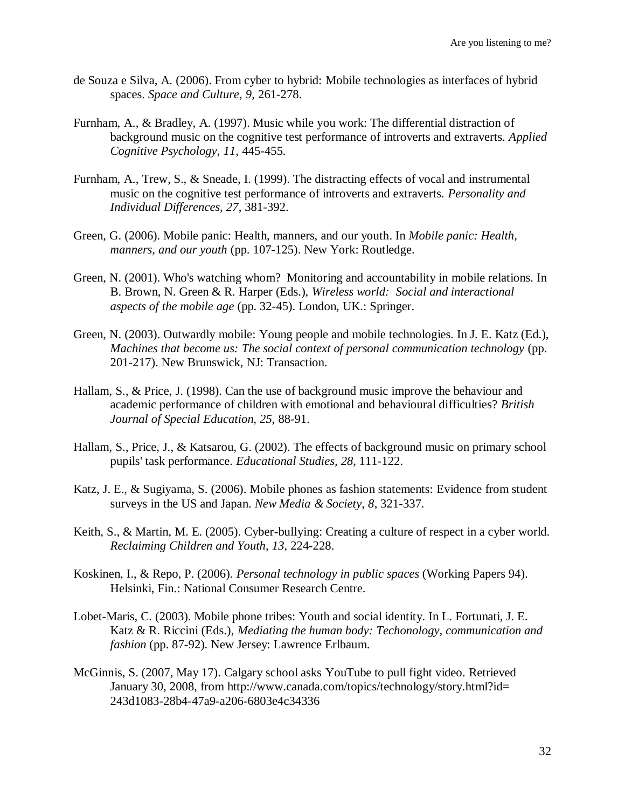- de Souza e Silva, A. (2006). From cyber to hybrid: Mobile technologies as interfaces of hybrid spaces. *Space and Culture, 9*, 261-278.
- Furnham, A., & Bradley, A. (1997). Music while you work: The differential distraction of background music on the cognitive test performance of introverts and extraverts. *Applied Cognitive Psychology, 11*, 445-455.
- Furnham, A., Trew, S., & Sneade, I. (1999). The distracting effects of vocal and instrumental music on the cognitive test performance of introverts and extraverts. *Personality and Individual Differences, 27*, 381-392.
- Green, G. (2006). Mobile panic: Health, manners, and our youth. In *Mobile panic: Health, manners, and our youth* (pp. 107-125). New York: Routledge.
- Green, N. (2001). Who's watching whom? Monitoring and accountability in mobile relations. In B. Brown, N. Green & R. Harper (Eds.), *Wireless world: Social and interactional aspects of the mobile age* (pp. 32-45). London, UK.: Springer.
- Green, N. (2003). Outwardly mobile: Young people and mobile technologies. In J. E. Katz (Ed.), *Machines that become us: The social context of personal communication technology* (pp. 201-217). New Brunswick, NJ: Transaction.
- Hallam, S., & Price, J. (1998). Can the use of background music improve the behaviour and academic performance of children with emotional and behavioural difficulties? *British Journal of Special Education, 25*, 88-91.
- Hallam, S., Price, J., & Katsarou, G. (2002). The effects of background music on primary school pupils' task performance. *Educational Studies, 28*, 111-122.
- Katz, J. E., & Sugiyama, S. (2006). Mobile phones as fashion statements: Evidence from student surveys in the US and Japan. *New Media & Society, 8*, 321-337.
- Keith, S., & Martin, M. E. (2005). Cyber-bullying: Creating a culture of respect in a cyber world. *Reclaiming Children and Youth, 13*, 224-228.
- Koskinen, I., & Repo, P. (2006). *Personal technology in public spaces* (Working Papers 94). Helsinki, Fin.: National Consumer Research Centre.
- Lobet-Maris, C. (2003). Mobile phone tribes: Youth and social identity. In L. Fortunati, J. E. Katz & R. Riccini (Eds.), *Mediating the human body: Techonology, communication and fashion* (pp. 87-92). New Jersey: Lawrence Erlbaum.
- McGinnis, S. (2007, May 17). Calgary school asks YouTube to pull fight video. Retrieved January 30, 2008, from http://www.canada.com/topics/technology/story.html?id= 243d1083-28b4-47a9-a206-6803e4c34336